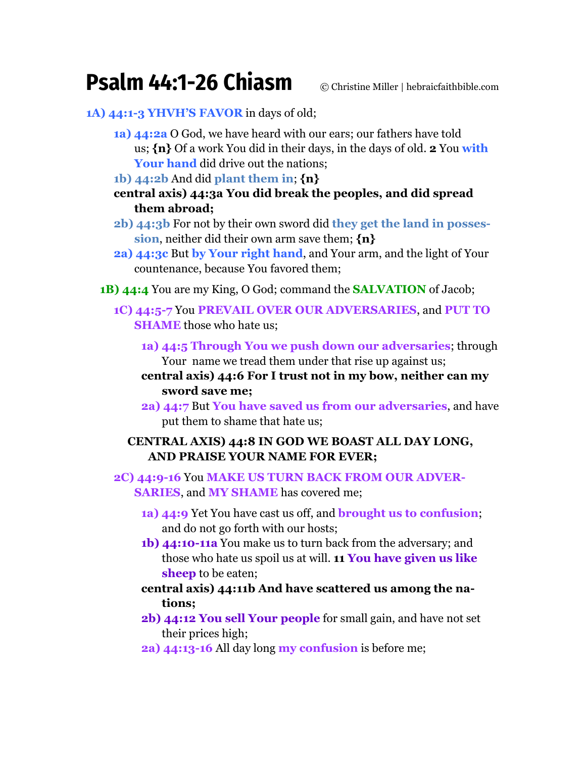## **Psalm 44:1-26 Chiasm** © Christine Miller | hebraicfaithbible.com

## **1A) 44:1-3 YHVH'S FAVOR** in days of old;

- **1a) 44:2a** O God, we have heard with our ears; our fathers have told us; **{n}** Of a work You did in their days, in the days of old. **2** You **with Your hand** did drive out the nations;
- **1b) 44:2b** And did **plant them in**; **{n}**
- **central axis) 44:3a You did break the peoples, and did spread them abroad;**
- **2b) 44:3b** For not by their own sword did **they get the land in possession**, neither did their own arm save them; **{n}**
- **2a) 44:3c** But **by Your right hand**, and Your arm, and the light of Your countenance, because You favored them;
- **1B) 44:4** You are my King, O God; command the **SALVATION** of Jacob;
	- **1C) 44:5-7** You **PREVAIL OVER OUR ADVERSARIES**, and **PUT TO SHAME** those who hate us;
		- **1a) 44:5 Through You we push down our adversaries**; through Your name we tread them under that rise up against us;
		- **central axis) 44:6 For I trust not in my bow, neither can my sword save me;**
		- **2a) 44:7** But **You have saved us from our adversaries**, and have put them to shame that hate us;

## **CENTRAL AXIS) 44:8 IN GOD WE BOAST ALL DAY LONG, AND PRAISE YOUR NAME FOR EVER;**

**2C) 44:9-16** You **MAKE US TURN BACK FROM OUR ADVER-SARIES**, and **MY SHAME** has covered me;

- **1a) 44:9** Yet You have cast us off, and **brought us to confusion**; and do not go forth with our hosts;
- **1b) 44:10-11a** You make us to turn back from the adversary; and those who hate us spoil us at will. **11 You have given us like sheep** to be eaten;
- **central axis) 44:11b And have scattered us among the nations;**
- **2b) 44:12 You sell Your people** for small gain, and have not set their prices high;
- **2a) 44:13-16** All day long **my confusion** is before me;